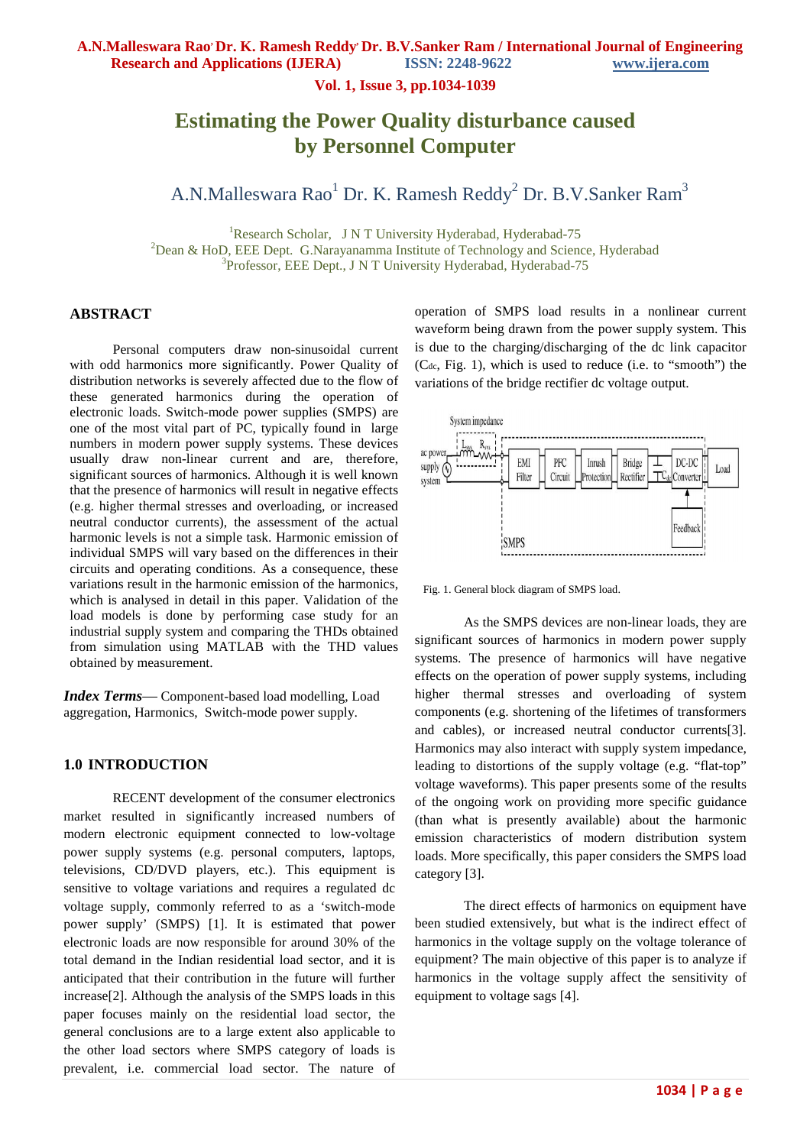**A.N.Malleswara Rao, Dr. K. Ramesh Reddy, Dr. B.V.Sanker Ram / International Journal of Engineering** 

**Research and Applications (IJERA) ISSN: 2248-9622 www.ijera.com**

**Vol. 1, Issue 3, pp.1034-1039**

# **Estimating the Power Quality disturbance caused by Personnel Computer**

# A.N.Malleswara Rao<sup>1</sup> Dr. K. Ramesh Reddy<sup>2</sup> Dr. B.V.Sanker Ram<sup>3</sup>

<sup>1</sup>Research Scholar, J N T University Hyderabad, Hyderabad-75  $2$ Dean & HoD, EEE Dept. G.Narayanamma Institute of Technology and Science, Hyderabad 3 Professor, EEE Dept., J N T University Hyderabad, Hyderabad-75

### **ABSTRACT**

Personal computers draw non-sinusoidal current with odd harmonics more significantly. Power Quality of distribution networks is severely affected due to the flow of these generated harmonics during the operation of electronic loads. Switch-mode power supplies (SMPS) are one of the most vital part of PC, typically found in large numbers in modern power supply systems. These devices usually draw non-linear current and are, therefore, significant sources of harmonics. Although it is well known that the presence of harmonics will result in negative effects (e.g. higher thermal stresses and overloading, or increased neutral conductor currents), the assessment of the actual harmonic levels is not a simple task. Harmonic emission of individual SMPS will vary based on the differences in their circuits and operating conditions. As a consequence, these variations result in the harmonic emission of the harmonics, which is analysed in detail in this paper. Validation of the load models is done by performing case study for an industrial supply system and comparing the THDs obtained from simulation using MATLAB with the THD values obtained by measurement.

*Index Terms*— Component-based load modelling, Load aggregation, Harmonics, Switch-mode power supply.

### **1.0 INTRODUCTION**

RECENT development of the consumer electronics market resulted in significantly increased numbers of modern electronic equipment connected to low-voltage power supply systems (e.g. personal computers, laptops, televisions, CD/DVD players, etc.). This equipment is sensitive to voltage variations and requires a regulated dc voltage supply, commonly referred to as a 'switch-mode power supply' (SMPS) [1]. It is estimated that power electronic loads are now responsible for around 30% of the total demand in the Indian residential load sector, and it is anticipated that their contribution in the future will further increase[2]. Although the analysis of the SMPS loads in this paper focuses mainly on the residential load sector, the general conclusions are to a large extent also applicable to the other load sectors where SMPS category of loads is prevalent, i.e. commercial load sector. The nature of

operation of SMPS load results in a nonlinear current waveform being drawn from the power supply system. This is due to the charging/discharging of the dc link capacitor  $(C_{dc}, Fig. 1)$ , which is used to reduce (i.e. to "smooth") the variations of the bridge rectifier dc voltage output.



Fig. 1. General block diagram of SMPS load.

As the SMPS devices are non-linear loads, they are significant sources of harmonics in modern power supply systems. The presence of harmonics will have negative effects on the operation of power supply systems, including higher thermal stresses and overloading of system components (e.g. shortening of the lifetimes of transformers and cables), or increased neutral conductor currents[3]. Harmonics may also interact with supply system impedance, leading to distortions of the supply voltage (e.g. "flat-top" voltage waveforms). This paper presents some of the results of the ongoing work on providing more specific guidance (than what is presently available) about the harmonic emission characteristics of modern distribution system loads. More specifically, this paper considers the SMPS load category [3].

The direct effects of harmonics on equipment have been studied extensively, but what is the indirect effect of harmonics in the voltage supply on the voltage tolerance of equipment? The main objective of this paper is to analyze if harmonics in the voltage supply affect the sensitivity of equipment to voltage sags [4].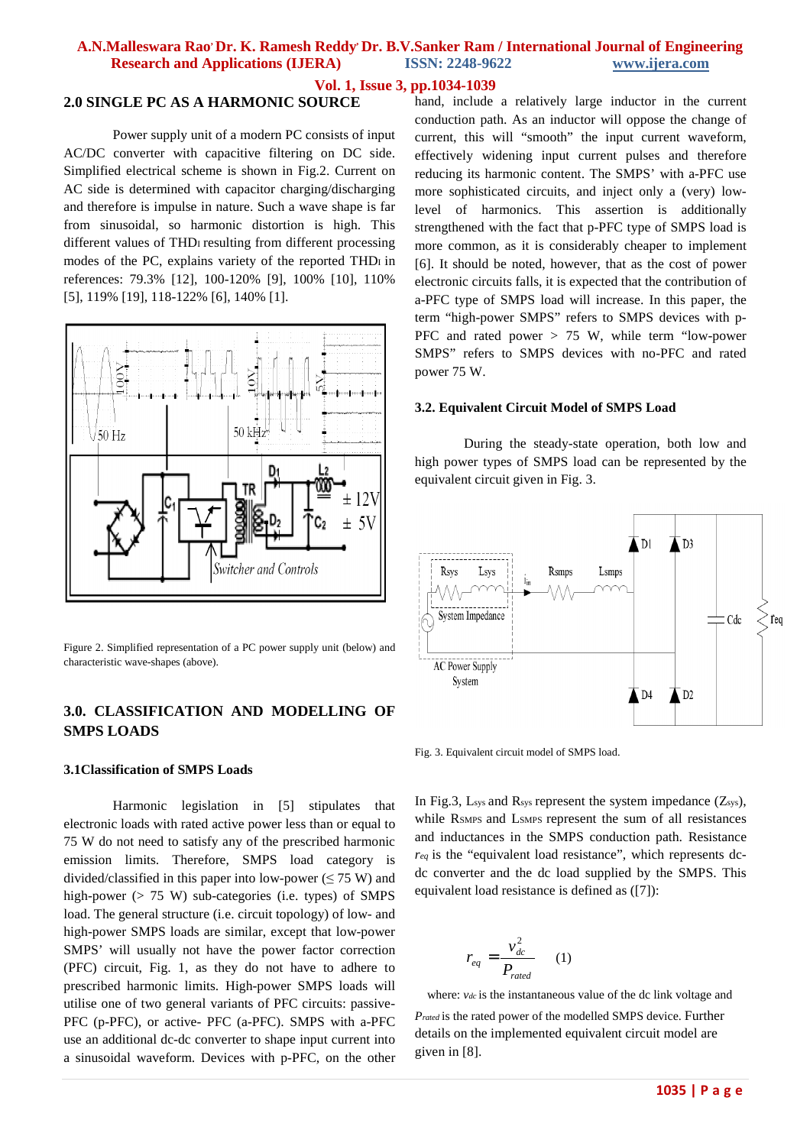#### **Vol. 1, Issue 3, pp.1034-1039**

### **2.0 SINGLE PC AS A HARMONIC SOURCE**

Power supply unit of a modern PC consists of input AC/DC converter with capacitive filtering on DC side. Simplified electrical scheme is shown in Fig.2. Current on AC side is determined with capacitor charging/discharging and therefore is impulse in nature. Such a wave shape is far from sinusoidal, so harmonic distortion is high. This different values of THDI resulting from different processing modes of the PC, explains variety of the reported THDI in references: 79.3% [12], 100-120% [9], 100% [10], 110% [5], 119% [19], 118-122% [6], 140% [1].



Figure 2. Simplified representation of a PC power supply unit (below) and characteristic wave-shapes (above).

# **3.0. CLASSIFICATION AND MODELLING OF SMPS LOADS**

#### **3.1Classification of SMPS Loads**

Harmonic legislation in [5] stipulates that electronic loads with rated active power less than or equal to 75 W do not need to satisfy any of the prescribed harmonic emission limits. Therefore, SMPS load category is divided/classified in this paper into low-power ( $\leq$  75 W) and high-power (> 75 W) sub-categories (i.e. types) of SMPS load. The general structure (i.e. circuit topology) of low- and high-power SMPS loads are similar, except that low-power SMPS' will usually not have the power factor correction (PFC) circuit, Fig. 1, as they do not have to adhere to prescribed harmonic limits. High-power SMPS loads will utilise one of two general variants of PFC circuits: passive-PFC (p-PFC), or active- PFC (a-PFC). SMPS with a-PFC use an additional dc-dc converter to shape input current into a sinusoidal waveform. Devices with p-PFC, on the other hand, include a relatively large inductor in the current conduction path. As an inductor will oppose the change of current, this will "smooth" the input current waveform, effectively widening input current pulses and therefore reducing its harmonic content. The SMPS' with a-PFC use more sophisticated circuits, and inject only a (very) lowlevel of harmonics. This assertion is additionally strengthened with the fact that p-PFC type of SMPS load is more common, as it is considerably cheaper to implement [6]. It should be noted, however, that as the cost of power electronic circuits falls, it is expected that the contribution of a-PFC type of SMPS load will increase. In this paper, the term "high-power SMPS" refers to SMPS devices with p-PFC and rated power > 75 W, while term "low-power SMPS" refers to SMPS devices with no-PFC and rated power 75 W.

#### **3.2. Equivalent Circuit Model of SMPS Load**

During the steady-state operation, both low and high power types of SMPS load can be represented by the equivalent circuit given in Fig. 3.



Fig. 3. Equivalent circuit model of SMPS load.

In Fig.3,  $L_{sys}$  and  $R_{sys}$  represent the system impedance  $(Z_{sys})$ , while RSMPS and LSMPS represent the sum of all resistances and inductances in the SMPS conduction path. Resistance *req* is the "equivalent load resistance", which represents dcdc converter and the dc load supplied by the SMPS. This equivalent load resistance is defined as ([7]):

$$
r_{eq} = \frac{v_{dc}^2}{P_{rated}} \qquad (1)
$$

*r*

where: *vdc* is the instantaneous value of the dc link voltage and

*Prated* is the rated power of the modelled SMPS device. Further details on the implemented equivalent circuit model are given in [8].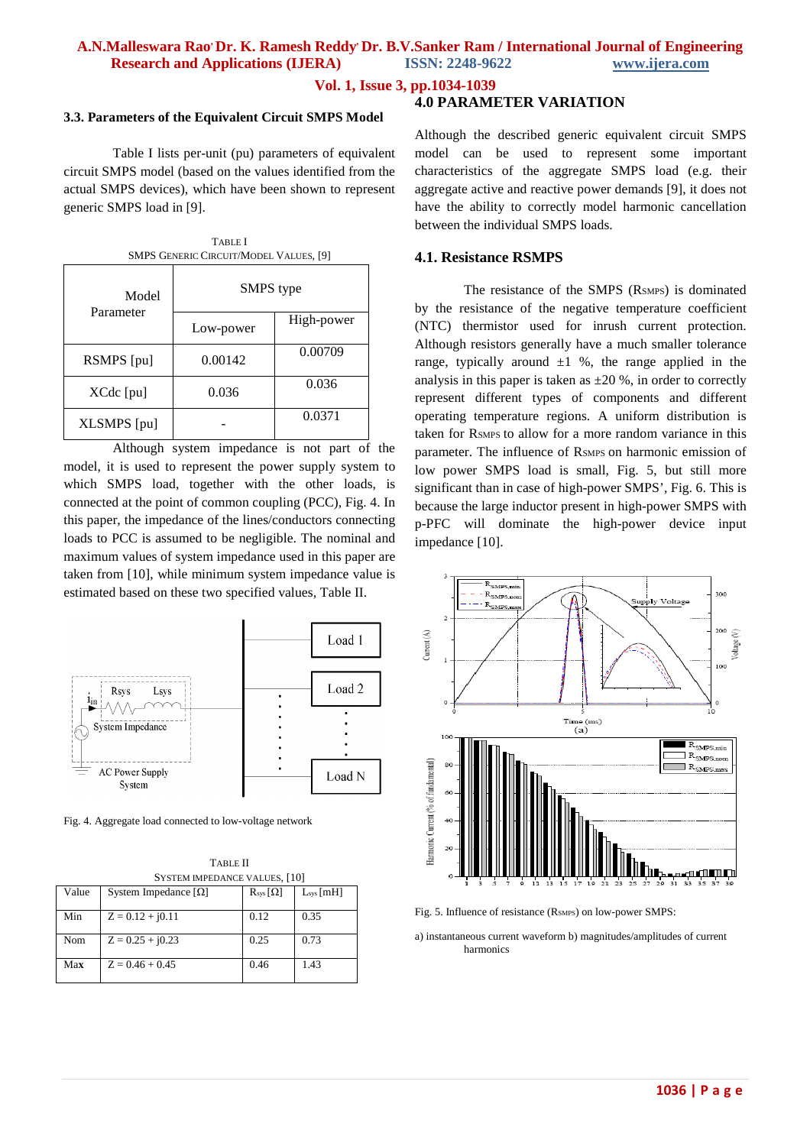**Vol. 1, Issue 3, pp.1034-1039**

#### **3.3. Parameters of the Equivalent Circuit SMPS Model**

Table I lists per-unit (pu) parameters of equivalent circuit SMPS model (based on the values identified from the actual SMPS devices), which have been shown to represent generic SMPS load in [9].

| <b>TABLE</b> I<br><b>SMPS GENERIC CIRCUIT/MODEL VALUES, [9]</b> |           |            |  |  |  |
|-----------------------------------------------------------------|-----------|------------|--|--|--|
| Model<br>Parameter                                              | SMPS type |            |  |  |  |
|                                                                 | Low-power | High-power |  |  |  |
| RSMPS [pu]                                                      | 0.00142   | 0.00709    |  |  |  |
| XCdc [pu]                                                       | 0.036     | 0.036      |  |  |  |
| XLSMPS [pu]                                                     |           | 0.0371     |  |  |  |

Although system impedance is not part of the model, it is used to represent the power supply system to which SMPS load, together with the other loads, is connected at the point of common coupling (PCC), Fig. 4. In this paper, the impedance of the lines/conductors connecting loads to PCC is assumed to be negligible. The nominal and maximum values of system impedance used in this paper are taken from [10], while minimum system impedance value is estimated based on these two specified values, Table II.



Fig. 4. Aggregate load connected to low-voltage network

| <b>TABLE II</b>               |  |  |  |  |
|-------------------------------|--|--|--|--|
| SYSTEM IMPEDANCE VALUES, [10] |  |  |  |  |

| Value | System Impedance $\lceil \Omega \rceil$ | $R_{sys}[\Omega]$ | $L_{sys}$ [mH] |
|-------|-----------------------------------------|-------------------|----------------|
| Min   | $Z = 0.12 + i0.11$                      | 0.12              | 0.35           |
| Nom   | $Z = 0.25 + i0.23$                      | 0.25              | 0.73           |
| Max   | $Z = 0.46 + 0.45$                       | 0.46              | 1.43           |

### **4.0 PARAMETER VARIATION**

Although the described generic equivalent circuit SMPS model can be used to represent some important characteristics of the aggregate SMPS load (e.g. their aggregate active and reactive power demands [9], it does not have the ability to correctly model harmonic cancellation between the individual SMPS loads.

## **4.1. Resistance RSMPS**

The resistance of the SMPS (RSMPS) is dominated by the resistance of the negative temperature coefficient (NTC) thermistor used for inrush current protection. Although resistors generally have a much smaller tolerance range, typically around  $\pm 1$  %, the range applied in the analysis in this paper is taken as  $\pm 20$  %, in order to correctly represent different types of components and different operating temperature regions. A uniform distribution is taken for RSMPS to allow for a more random variance in this parameter. The influence of RSMPS on harmonic emission of low power SMPS load is small, Fig. 5, but still more significant than in case of high-power SMPS', Fig. 6. This is because the large inductor present in high-power SMPS with p-PFC will dominate the high-power device input impedance [10].



Fig. 5. Influence of resistance (RSMPS) on low-power SMPS:

a) instantaneous current waveform b) magnitudes/amplitudes of current harmonics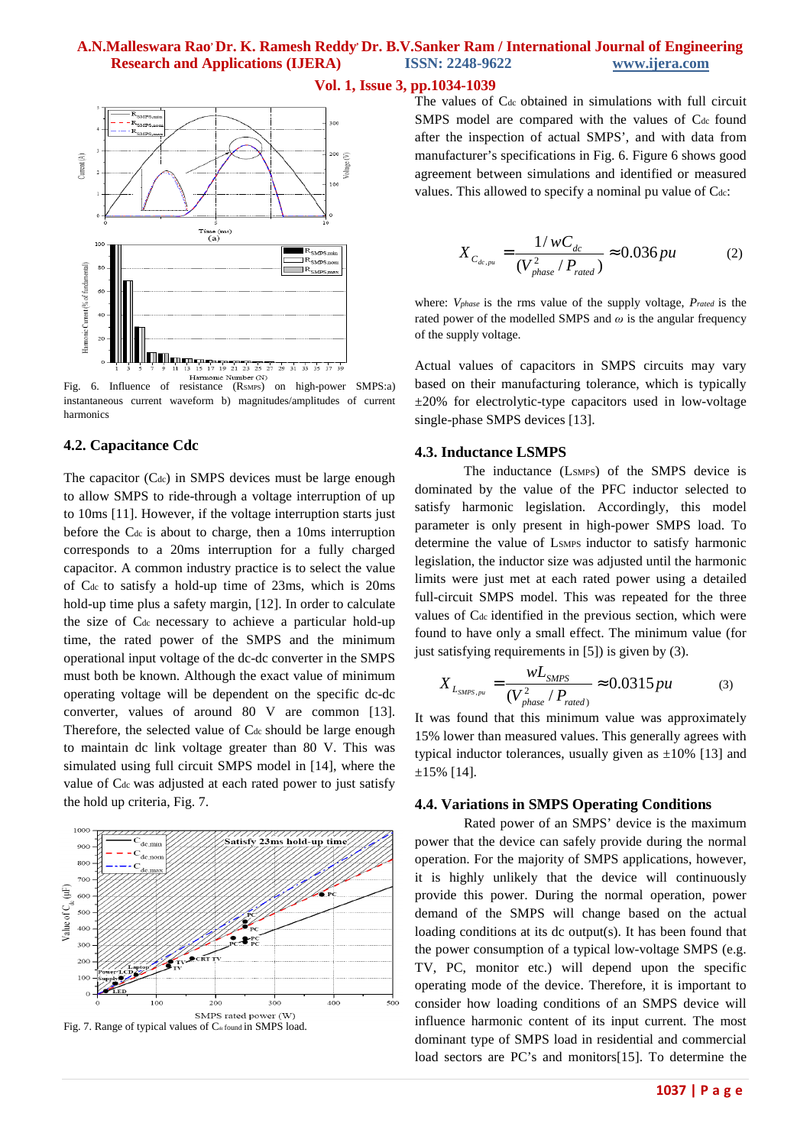



Fig. 6. Influence of resistance (RSMPS) on high-power SMPS:a) instantaneous current waveform b) magnitudes/amplitudes of current harmonics

### **4.2. Capacitance Cdc**

The capacitor  $(C_{dc})$  in SMPS devices must be large enough to allow SMPS to ride-through a voltage interruption of up to 10ms [11]. However, if the voltage interruption starts just before the Cdc is about to charge, then a 10ms interruption corresponds to a 20ms interruption for a fully charged capacitor. A common industry practice is to select the value of Cdc to satisfy a hold-up time of 23ms, which is 20ms hold-up time plus a safety margin, [12]. In order to calculate the size of Cdc necessary to achieve a particular hold-up time, the rated power of the SMPS and the minimum operational input voltage of the dc-dc converter in the SMPS must both be known. Although the exact value of minimum operating voltage will be dependent on the specific dc-dc converter, values of around 80 V are common [13]. Therefore, the selected value of C<sub>dc</sub> should be large enough to maintain dc link voltage greater than 80 V. This was simulated using full circuit SMPS model in [14], where the value of C<sub>dc</sub> was adjusted at each rated power to just satisfy the hold up criteria, Fig. 7.

#### 1000 Satisfy 23ms hold-up time  $\alpha$  $80<sup>c</sup>$  $70<sup>c</sup>$ Value of  $C$ .  $(\mu F)$ 600 500  $40($  $30<sup>c</sup>$  $200$  $10($  $400$  $200$  $300$ 500 SMPS rated power (W) Fig. 7. Range of typical values of  $C_{\text{defound}}$  in SMPS load.



$$
X_{C_{dc,pu}} = \frac{1/wC_{dc}}{(V_{phase}^2/P_{rated})} \approx 0.036 pu
$$
 (2)

where: *Vphase* is the rms value of the supply voltage, *Prated* is the rated power of the modelled SMPS and *ω* is the angular frequency of the supply voltage.

Actual values of capacitors in SMPS circuits may vary based on their manufacturing tolerance, which is typically  $\pm 20\%$  for electrolytic-type capacitors used in low-voltage single-phase SMPS devices [13].

#### **4.3. Inductance LSMPS**

The inductance (LSMPS) of the SMPS device is dominated by the value of the PFC inductor selected to satisfy harmonic legislation. Accordingly, this model parameter is only present in high-power SMPS load. To determine the value of LSMPS inductor to satisfy harmonic legislation, the inductor size was adjusted until the harmonic limits were just met at each rated power using a detailed full-circuit SMPS model. This was repeated for the three values of C<sub>dc</sub> identified in the previous section, which were found to have only a small effect. The minimum value (for just satisfying requirements in [5]) is given by (3).

$$
X_{L_{SMPS,pu}} = \frac{wL_{SMPS}}{(V_{phase}^2/P_{rated})} \approx 0.0315 \, pu \tag{3}
$$

It was found that this minimum value was approximately 15% lower than measured values. This generally agrees with typical inductor tolerances, usually given as  $\pm 10\%$  [13] and ±15% [14].

#### **4.4. Variations in SMPS Operating Conditions**

Rated power of an SMPS' device is the maximum power that the device can safely provide during the normal operation. For the majority of SMPS applications, however, it is highly unlikely that the device will continuously provide this power. During the normal operation, power demand of the SMPS will change based on the actual loading conditions at its dc output(s). It has been found that the power consumption of a typical low-voltage SMPS (e.g. TV, PC, monitor etc.) will depend upon the specific operating mode of the device. Therefore, it is important to consider how loading conditions of an SMPS device will influence harmonic content of its input current. The most dominant type of SMPS load in residential and commercial load sectors are PC's and monitors[15]. To determine the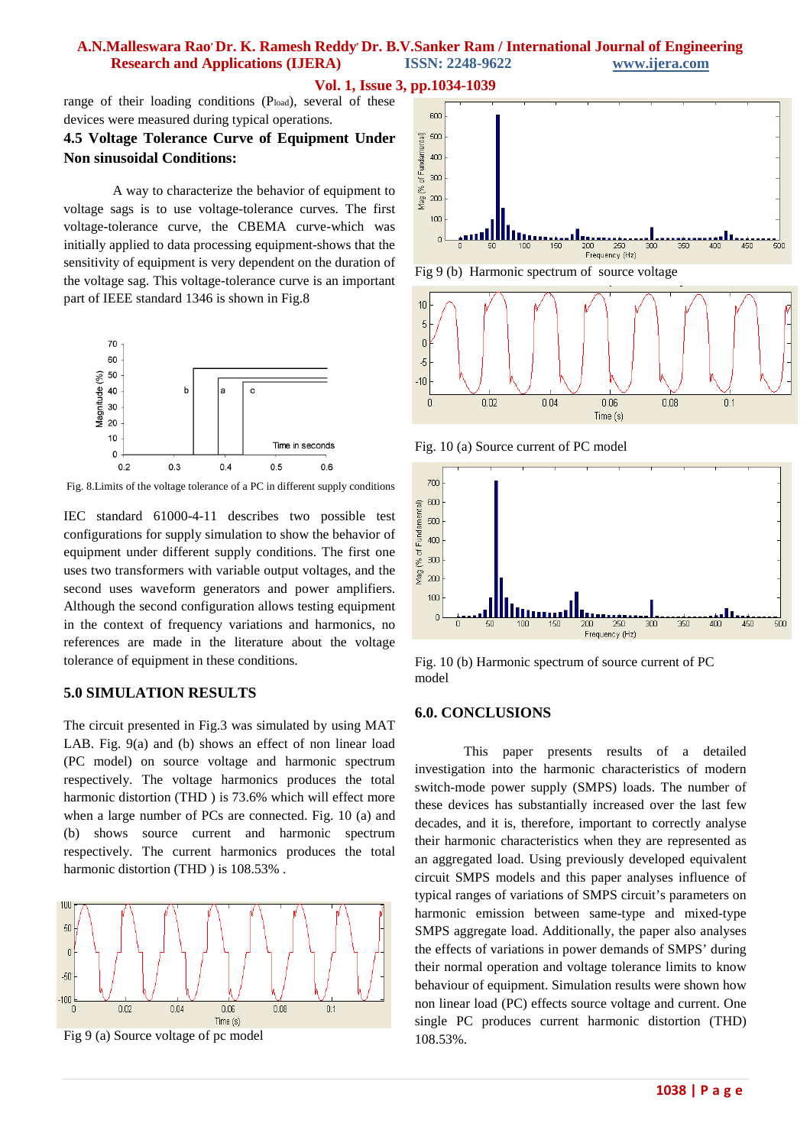**Vol. 1, Issue 3, pp.1034-1039**

range of their loading conditions (Pload), several of these devices were measured during typical operations.

# **4.5 Voltage Tolerance Curve of Equipment Under Non sinusoidal Conditions:**

A way to characterize the behavior of equipment to voltage sags is to use voltage-tolerance curves. The first voltage-tolerance curve, the CBEMA curve-which was initially applied to data processing equipment-shows that the sensitivity of equipment is very dependent on the duration of the voltage sag. This voltage-tolerance curve is an important part of IEEE standard 1346 is shown in Fig.8



Fig. 8.Limits of the voltage tolerance of a PC in different supply conditions

IEC standard 61000-4-11 describes two possible test configurations for supply simulation to show the behavior of equipment under different supply conditions. The first one uses two transformers with variable output voltages, and the second uses waveform generators and power amplifiers. Although the second configuration allows testing equipment in the context of frequency variations and harmonics, no references are made in the literature about the voltage tolerance of equipment in these conditions.

# **5.0 SIMULATION RESULTS**

The circuit presented in Fig.3 was simulated by using MAT LAB. Fig. 9(a) and (b) shows an effect of non linear load (PC model) on source voltage and harmonic spectrum respectively. The voltage harmonics produces the total harmonic distortion (THD ) is 73.6% which will effect more when a large number of PCs are connected. Fig. 10 (a) and (b) shows source current and harmonic spectrum respectively. The current harmonics produces the total harmonic distortion (THD ) is 108.53% .



Fig 9 (a) Source voltage of pc model







Fig. 10 (a) Source current of PC model



Fig. 10 (b) Harmonic spectrum of source current of PC model

# **6.0. CONCLUSIONS**

This paper presents results of a detailed investigation into the harmonic characteristics of modern switch-mode power supply (SMPS) loads. The number of these devices has substantially increased over the last few decades, and it is, therefore, important to correctly analyse their harmonic characteristics when they are represented as an aggregated load. Using previously developed equivalent circuit SMPS models and this paper analyses influence of typical ranges of variations of SMPS circuit's parameters on harmonic emission between same-type and mixed-type SMPS aggregate load. Additionally, the paper also analyses the effects of variations in power demands of SMPS' during their normal operation and voltage tolerance limits to know behaviour of equipment. Simulation results were shown how non linear load (PC) effects source voltage and current. One single PC produces current harmonic distortion (THD) 108.53%.